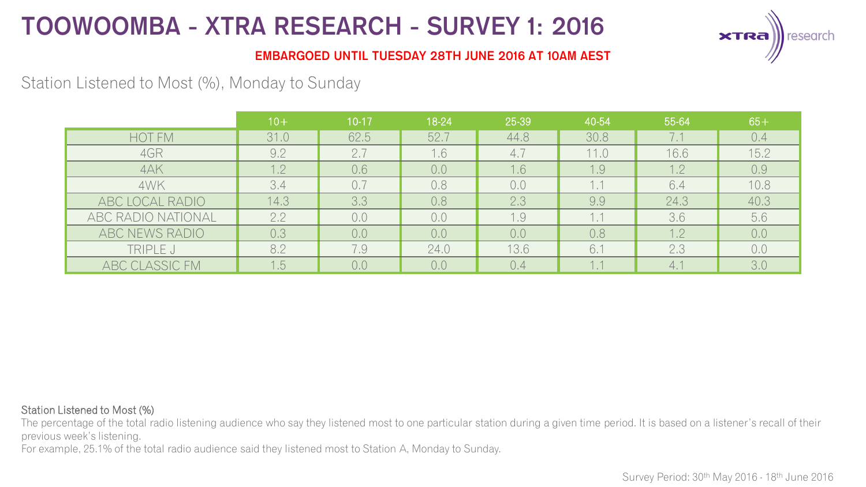

### **EMBARGOED UNTIL TUESDAY 28TH JUNE 2016 AT 10AM AEST**

## Station Listened to Most (%), Monday to Sunday

|                    | $10+$ | $10 - 17$ | 18-24 | 25-39 | 40-54 | 55-64 | $65+$ |
|--------------------|-------|-----------|-------|-------|-------|-------|-------|
| <b>HOT FM</b>      | 31.0  | 62.5      | 52.7  | 44.8  | 30.8  | 7.1   | 0.4   |
| 4GR                | 9.2   | 2.7       | 1.6   | 4.7   | 11.0  | 16.6  | 15.2  |
| 4AK                | 1.2   | 0.6       | 0,0   | 1.6   | 1.9   | 1.2   | 0.9   |
| 4WK                | 3.4   | 0.7       | 0.8   | 0,0   | 1.1   | 6.4   | 10.8  |
| ABC LOCAL RADIO    | 14.3  | 3.3       | 0.8   | 2.3   | 9.9   | 24.3  | 40.3  |
| ABC RADIO NATIONAL | 2.2   | 0,0       | 0.0   | 1.9   | 1.1   | 3.6   | 5.6   |
| ABC NEWS RADIO     | 0.3   | 0,0       | 0,0   | 0,0   | 0.8   | 1.2   | 0,0   |
| TRIPLE J           | 8.2   | 7.9       | 24.0  | 13.6  | 6.1   | 2.3   | 0,0   |
| ABC CLASSIC FM     | 1.5   | 0.0       | 0.0   | 0.4   | 1.1   | 4.1   | 3.0   |

#### Station Listened to Most (%)

The percentage of the total radio listening audience who say they listened most to one particular station during a given time period. It is based on a listener's recall of their previous week's listening.

For example, 25.1% of the total radio audience said they listened most to Station A, Monday to Sunday.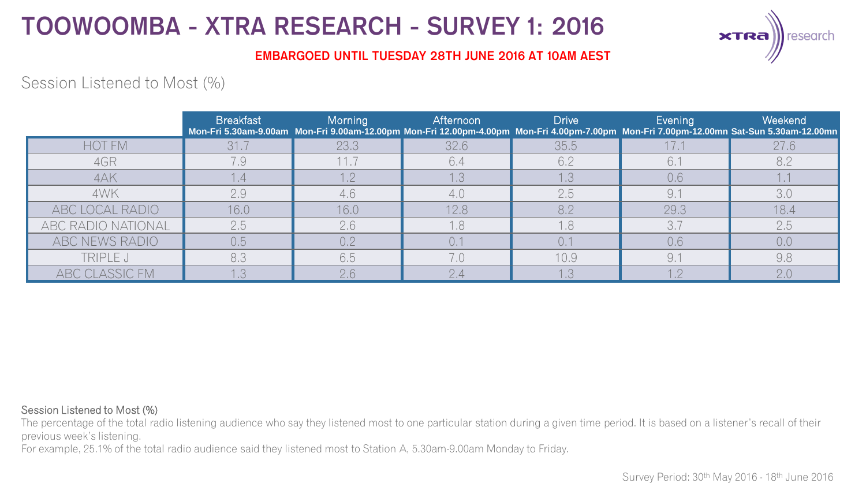

### **EMBARGOED UNTIL TUESDAY 28TH JUNE 2016 AT 10AM AEST**

## Session Listened to Most (%)

|                    | <b>Breakfast</b> | Morning | Afternoon | <b>Drive</b> | Evening   | Weekend<br>Mon-Fri 5.30am-9.00am Mon-Fri 9.00am-12.00pm Mon-Fri 12.00pm-4.00pm Mon-Fri 4.00pm-7.00pm Mon-Fri 7.00pm-12.00mn Sat-Sun 5.30am-12.00mn |
|--------------------|------------------|---------|-----------|--------------|-----------|----------------------------------------------------------------------------------------------------------------------------------------------------|
| <b>HOT FM</b>      | 31.7             | 23.3    | 32.6      | 35.5         |           | 27.6                                                                                                                                               |
| 4GR                | 7.9              | 11.7    | 6.4       | 6.2          | 6.7       | 8.2                                                                                                                                                |
| 4AK                | $\mathsf{I}$ .4  | 1.2     | 1.3       | 1.3          | 0,6       |                                                                                                                                                    |
| 4WK                | 2.9              | 4.6     | 4.0       | 2.5          | 9.1       | 3.0                                                                                                                                                |
| ABC LOCAL RADIO    | 16.0             | 16.0    | 12.8      | 8.2          | 29.3      | 18.4                                                                                                                                               |
| ABC RADIO NATIONAL | 2.5              | 2.6     | 1.8       | 1.8          | 3.7       | 2.5                                                                                                                                                |
| ABC NEWS RADIO     | 0.5              | 0.2     |           |              | 0,6       | 0,0                                                                                                                                                |
| TRIPLE J           | 8.3              | 6.5     | 7.0       | 10.9         | 9.7       | 9.8                                                                                                                                                |
| ABC CLASSIC FM     |                  | 2.6     | 2.4       |              | $1^\circ$ | 2.0                                                                                                                                                |

#### Session Listened to Most (%)

The percentage of the total radio listening audience who say they listened most to one particular station during a given time period. It is based on a listener's recall of their previous week's listening.

For example, 25.1% of the total radio audience said they listened most to Station A, 5.30am-9.00am Monday to Friday.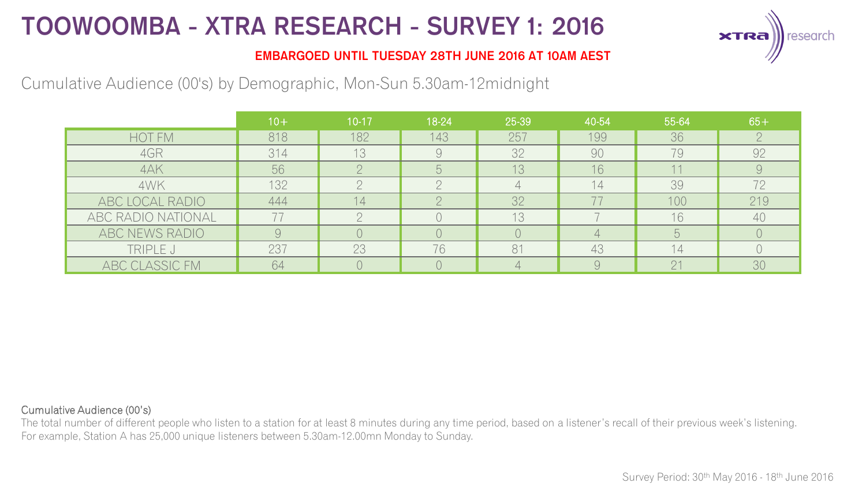

### **EMBARGOED UNTIL TUESDAY 28TH JUNE 2016 AT 10AM AEST**

## Cumulative Audience (00's) by Demographic, Mon-Sun 5.30am-12midnight

|                    | $10+$ | $10 - 17$ | 18-24 | 25-39 | 40-54          | 55-64 | $65+$ |
|--------------------|-------|-----------|-------|-------|----------------|-------|-------|
| HOT FM             | 818   | 182       | 143   | 257   | 199            | 36    |       |
| 4GR                | 314   | 13        |       | 32    | 90             | 79    | 92    |
| 4AK                | 56    |           |       | 13    | 16             |       |       |
| 4WK                | 132   |           |       |       | 14             | 39    | 72    |
| ABC LOCAL RADIO    | 444   | 14.       |       | 32    |                | 100   | 219   |
| ABC RADIO NATIONAL |       |           |       | 13    |                | 16    | 40    |
| ABC NEWS RADIO     |       |           |       |       |                |       |       |
| TRIPLE J           | 237   | 23        | 76    | 81    | 43             | 14    |       |
| ABC CLASSIC FM     | 64    |           |       |       | $\overline{Q}$ | 21    | 30    |

#### Cumulative Audience (00's)

The total number of different people who listen to a station for at least 8 minutes during any time period, based on a listener's recall of their previous week's listening. For example, Station A has 25,000 unique listeners between 5.30am-12.00mn Monday to Sunday.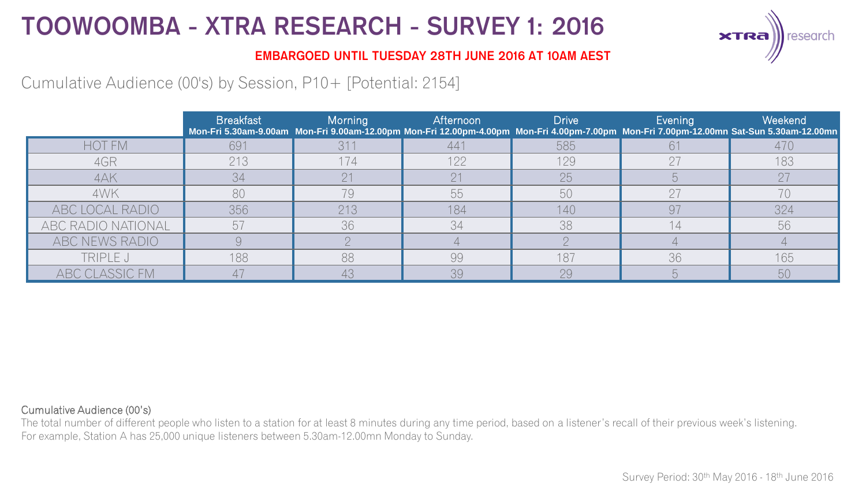

### **EMBARGOED UNTIL TUESDAY 28TH JUNE 2016 AT 10AM AEST**

## Cumulative Audience (00's) by Session, P10+ [Potential: 2154]

|                    | <b>Breakfast</b> | Morning         | <b>Afternoon</b> | <b>Drive</b> | Evening | Weekend<br>Mon-Fri 5.30am-9.00am Mon-Fri 9.00am-12.00pm Mon-Fri 12.00pm-4.00pm Mon-Fri 4.00pm-7.00pm Mon-Fri 7.00pm-12.00mn Sat-Sun 5.30am-12.00mn |
|--------------------|------------------|-----------------|------------------|--------------|---------|----------------------------------------------------------------------------------------------------------------------------------------------------|
| <b>HOT FM</b>      | 691              | 31 <sup>2</sup> | 441              | 585          |         | 470                                                                                                                                                |
| 4GR                | 213              | 174             | 122              | 129          | 27      | 183                                                                                                                                                |
| 4AK                | 34               | 21              |                  | 25           |         | 27                                                                                                                                                 |
| 4WK                | 80               | 79              | 55               | 50           | 27      | 70                                                                                                                                                 |
| ABC LOCAL RADIO    | 356              | 213             | 184              | 140          | 97      | 324                                                                                                                                                |
| ABC RADIO NATIONAL | 57               | 36              | 34               | 38           | 14      | 56                                                                                                                                                 |
| ABC NEWS RADIO     |                  |                 |                  |              |         |                                                                                                                                                    |
| TRIPLE J           | 188              | 88              | 99               | 187          | 36      | 165                                                                                                                                                |
| ABC CLASSIC FM     |                  | 43              | 39               | 29           |         | 50                                                                                                                                                 |

#### Cumulative Audience (00's)

The total number of different people who listen to a station for at least 8 minutes during any time period, based on a listener's recall of their previous week's listening. For example, Station A has 25,000 unique listeners between 5.30am-12.00mn Monday to Sunday.